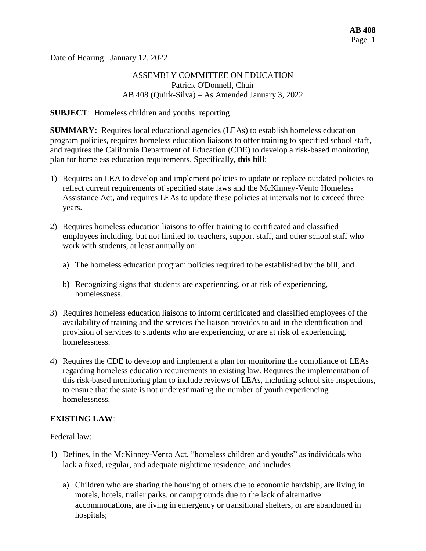Date of Hearing: January 12, 2022

## ASSEMBLY COMMITTEE ON EDUCATION Patrick O'Donnell, Chair AB 408 (Quirk-Silva) – As Amended January 3, 2022

#### **SUBJECT**: Homeless children and youths: reporting

**SUMMARY:** Requires local educational agencies (LEAs) to establish homeless education program policies**,** requires homeless education liaisons to offer training to specified school staff, and requires the California Department of Education (CDE) to develop a risk-based monitoring plan for homeless education requirements. Specifically, **this bill**:

- 1) Requires an LEA to develop and implement policies to update or replace outdated policies to reflect current requirements of specified state laws and the McKinney-Vento Homeless Assistance Act, and requires LEAs to update these policies at intervals not to exceed three years.
- 2) Requires homeless education liaisons to offer training to certificated and classified employees including, but not limited to, teachers, support staff, and other school staff who work with students, at least annually on:
	- a) The homeless education program policies required to be established by the bill; and
	- b) Recognizing signs that students are experiencing, or at risk of experiencing, homelessness.
- 3) Requires homeless education liaisons to inform certificated and classified employees of the availability of training and the services the liaison provides to aid in the identification and provision of services to students who are experiencing, or are at risk of experiencing, homelessness.
- 4) Requires the CDE to develop and implement a plan for monitoring the compliance of LEAs regarding homeless education requirements in existing law. Requires the implementation of this risk-based monitoring plan to include reviews of LEAs, including school site inspections, to ensure that the state is not underestimating the number of youth experiencing homelessness.

## **EXISTING LAW**:

Federal law:

- 1) Defines, in the McKinney-Vento Act, "homeless children and youths" as individuals who lack a fixed, regular, and adequate nighttime residence, and includes:
	- a) Children who are sharing the housing of others due to economic hardship, are living in motels, hotels, trailer parks, or campgrounds due to the lack of alternative accommodations, are living in emergency or transitional shelters, or are abandoned in hospitals;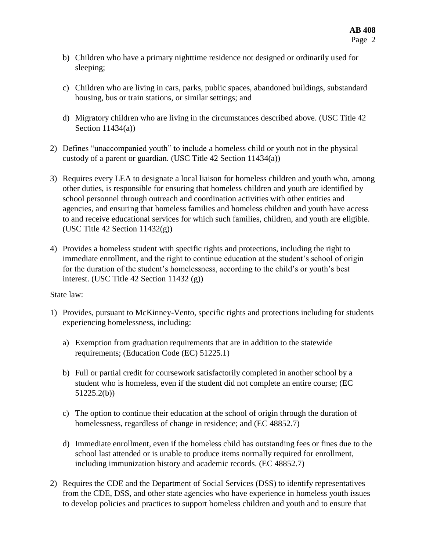- b) Children who have a primary nighttime residence not designed or ordinarily used for sleeping;
- c) Children who are living in cars, parks, public spaces, abandoned buildings, substandard housing, bus or train stations, or similar settings; and
- d) Migratory children who are living in the circumstances described above. (USC Title 42 Section 11434(a))
- 2) Defines "unaccompanied youth" to include a homeless child or youth not in the physical custody of a parent or guardian. (USC Title 42 Section 11434(a))
- 3) Requires every LEA to designate a local liaison for homeless children and youth who, among other duties, is responsible for ensuring that homeless children and youth are identified by school personnel through outreach and coordination activities with other entities and agencies, and ensuring that homeless families and homeless children and youth have access to and receive educational services for which such families, children, and youth are eligible. (USC Title 42 Section 11432(g))
- 4) Provides a homeless student with specific rights and protections, including the right to immediate enrollment, and the right to continue education at the student's school of origin for the duration of the student's homelessness, according to the child's or youth's best interest. (USC Title 42 Section 11432 (g))

## State law:

- 1) Provides, pursuant to McKinney-Vento, specific rights and protections including for students experiencing homelessness, including:
	- a) Exemption from graduation requirements that are in addition to the statewide requirements; (Education Code (EC) 51225.1)
	- b) Full or partial credit for coursework satisfactorily completed in another school by a student who is homeless, even if the student did not complete an entire course; (EC 51225.2(b))
	- c) The option to continue their education at the school of origin through the duration of homelessness, regardless of change in residence; and (EC 48852.7)
	- d) Immediate enrollment, even if the homeless child has outstanding fees or fines due to the school last attended or is unable to produce items normally required for enrollment, including immunization history and academic records. (EC 48852.7)
- 2) Requires the CDE and the Department of Social Services (DSS) to identify representatives from the CDE, DSS, and other state agencies who have experience in homeless youth issues to develop policies and practices to support homeless children and youth and to ensure that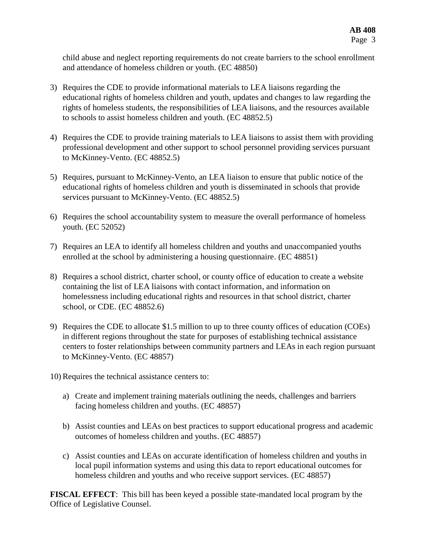child abuse and neglect reporting requirements do not create barriers to the school enrollment and attendance of homeless children or youth. (EC 48850)

- 3) Requires the CDE to provide informational materials to LEA liaisons regarding the educational rights of homeless children and youth, updates and changes to law regarding the rights of homeless students, the responsibilities of LEA liaisons, and the resources available to schools to assist homeless children and youth. (EC 48852.5)
- 4) Requires the CDE to provide training materials to LEA liaisons to assist them with providing professional development and other support to school personnel providing services pursuant to McKinney-Vento. (EC 48852.5)
- 5) Requires, pursuant to McKinney-Vento, an LEA liaison to ensure that public notice of the educational rights of homeless children and youth is disseminated in schools that provide services pursuant to McKinney-Vento. (EC 48852.5)
- 6) Requires the school accountability system to measure the overall performance of homeless youth. (EC 52052)
- 7) Requires an LEA to identify all homeless children and youths and unaccompanied youths enrolled at the school by administering a housing questionnaire. (EC 48851)
- 8) Requires a school district, charter school, or county office of education to create a website containing the list of LEA liaisons with contact information, and information on homelessness including educational rights and resources in that school district, charter school, or CDE. (EC 48852.6)
- 9) Requires the CDE to allocate \$1.5 million to up to three county offices of education (COEs) in different regions throughout the state for purposes of establishing technical assistance centers to foster relationships between community partners and LEAs in each region pursuant to McKinney-Vento. (EC 48857)
- 10) Requires the technical assistance centers to:
	- a) Create and implement training materials outlining the needs, challenges and barriers facing homeless children and youths. (EC 48857)
	- b) Assist counties and LEAs on best practices to support educational progress and academic outcomes of homeless children and youths. (EC 48857)
	- c) Assist counties and LEAs on accurate identification of homeless children and youths in local pupil information systems and using this data to report educational outcomes for homeless children and youths and who receive support services. (EC 48857)

**FISCAL EFFECT**: This bill has been keyed a possible state-mandated local program by the Office of Legislative Counsel.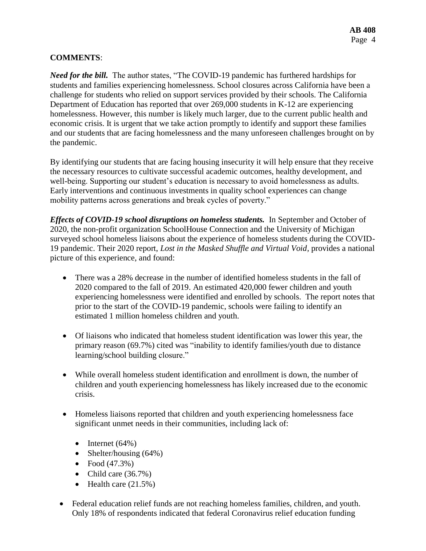# **COMMENTS**:

*Need for the bill.* The author states, "The COVID-19 pandemic has furthered hardships for students and families experiencing homelessness. School closures across California have been a challenge for students who relied on support services provided by their schools. The California Department of Education has reported that over 269,000 students in K-12 are experiencing homelessness. However, this number is likely much larger, due to the current public health and economic crisis. It is urgent that we take action promptly to identify and support these families and our students that are facing homelessness and the many unforeseen challenges brought on by the pandemic.

By identifying our students that are facing housing insecurity it will help ensure that they receive the necessary resources to cultivate successful academic outcomes, healthy development, and well-being. Supporting our student's education is necessary to avoid homelessness as adults. Early interventions and continuous investments in quality school experiences can change mobility patterns across generations and break cycles of poverty."

*Effects of COVID-19 school disruptions on homeless students.* In September and October of 2020, the non-profit organization SchoolHouse Connection and the University of Michigan surveyed school homeless liaisons about the experience of homeless students during the COVID-19 pandemic. Their 2020 report, *Lost in the Masked Shuffle and Virtual Void,* provides a national picture of this experience, and found:

- There was a 28% decrease in the number of identified homeless students in the fall of 2020 compared to the fall of 2019. An estimated 420,000 fewer children and youth experiencing homelessness were identified and enrolled by schools. The report notes that prior to the start of the COVID-19 pandemic, schools were failing to identify an estimated 1 million homeless children and youth.
- Of liaisons who indicated that homeless student identification was lower this year, the primary reason (69.7%) cited was "inability to identify families/youth due to distance learning/school building closure."
- While overall homeless student identification and enrollment is down, the number of children and youth experiencing homelessness has likely increased due to the economic crisis.
- Homeless liaisons reported that children and youth experiencing homelessness face significant unmet needs in their communities, including lack of:
	- $\bullet$  Internet (64%)
	- Shelter/housing  $(64%)$
	- Food  $(47.3%)$
	- Child care  $(36.7%)$
	- $\bullet$  Health care (21.5%)
- Federal education relief funds are not reaching homeless families, children, and youth. Only 18% of respondents indicated that federal Coronavirus relief education funding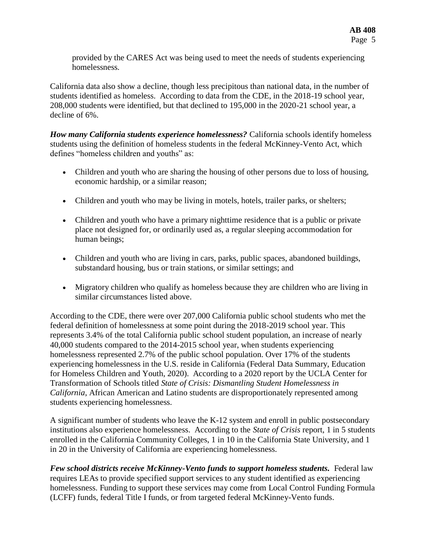provided by the CARES Act was being used to meet the needs of students experiencing homelessness.

California data also show a decline, though less precipitous than national data, in the number of students identified as homeless. According to data from the CDE, in the 2018-19 school year, 208,000 students were identified, but that declined to 195,000 in the 2020-21 school year, a decline of 6%.

*How many California students experience homelessness?* California schools identify homeless students using the definition of homeless students in the federal McKinney-Vento Act, which defines "homeless children and youths" as:

- Children and youth who are sharing the housing of other persons due to loss of housing, economic hardship, or a similar reason;
- Children and youth who may be living in motels, hotels, trailer parks, or shelters;
- Children and youth who have a primary nighttime residence that is a public or private place not designed for, or ordinarily used as, a regular sleeping accommodation for human beings;
- Children and youth who are living in cars, parks, public spaces, abandoned buildings, substandard housing, bus or train stations, or similar settings; and
- Migratory children who qualify as homeless because they are children who are living in similar circumstances listed above.

According to the CDE, there were over 207,000 California public school students who met the federal definition of homelessness at some point during the 2018-2019 school year. This represents 3.4% of the total California public school student population, an increase of nearly 40,000 students compared to the 2014-2015 school year, when students experiencing homelessness represented 2.7% of the public school population. Over 17% of the students experiencing homelessness in the U.S. reside in California (Federal Data Summary, Education for Homeless Children and Youth, 2020). According to a 2020 report by the UCLA Center for Transformation of Schools titled *State of Crisis: Dismantling Student Homelessness in California*, African American and Latino students are disproportionately represented among students experiencing homelessness.

A significant number of students who leave the K-12 system and enroll in public postsecondary institutions also experience homelessness. According to the *State of Crisis* report, 1 in 5 students enrolled in the California Community Colleges, 1 in 10 in the California State University, and 1 in 20 in the University of California are experiencing homelessness.

*Few school districts receive McKinney-Vento funds to support homeless students.* Federal law requires LEAs to provide specified support services to any student identified as experiencing homelessness. Funding to support these services may come from Local Control Funding Formula (LCFF) funds, federal Title I funds, or from targeted federal McKinney-Vento funds.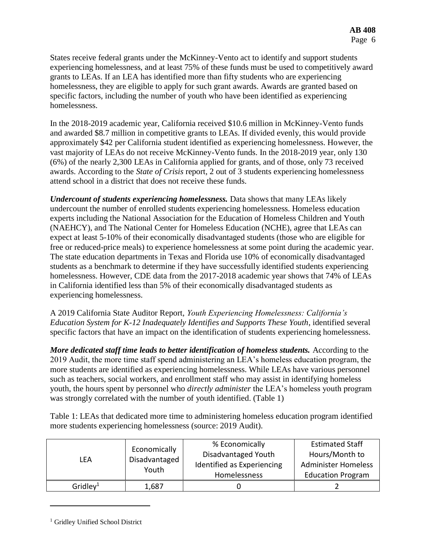States receive federal grants under the McKinney-Vento act to identify and support students experiencing homelessness, and at least 75% of these funds must be used to competitively award grants to LEAs. If an LEA has identified more than fifty students who are experiencing homelessness, they are eligible to apply for such grant awards. Awards are granted based on specific factors, including the number of youth who have been identified as experiencing homelessness.

In the 2018-2019 academic year, California received \$10.6 million in McKinney-Vento funds and awarded \$8.7 million in competitive grants to LEAs. If divided evenly, this would provide approximately \$42 per California student identified as experiencing homelessness. However, the vast majority of LEAs do not receive McKinney-Vento funds. In the 2018-2019 year, only 130 (6%) of the nearly 2,300 LEAs in California applied for grants, and of those, only 73 received awards. According to the *State of Crisis* report, 2 out of 3 students experiencing homelessness attend school in a district that does not receive these funds.

*Undercount of students experiencing homelessness.* Data shows that many LEAs likely undercount the number of enrolled students experiencing homelessness. Homeless education experts including the National Association for the Education of Homeless Children and Youth (NAEHCY), and The National Center for Homeless Education (NCHE), agree that LEAs can expect at least 5-10% of their economically disadvantaged students (those who are eligible for free or reduced-price meals) to experience homelessness at some point during the academic year. The state education departments in Texas and Florida use 10% of economically disadvantaged students as a benchmark to determine if they have successfully identified students experiencing homelessness. However, CDE data from the 2017-2018 academic year shows that 74% of LEAs in California identified less than 5% of their economically disadvantaged students as experiencing homelessness.

A 2019 California State Auditor Report, *Youth Experiencing Homelessness: California's Education System for K-12 Inadequately Identifies and Supports These Youth*, identified several specific factors that have an impact on the identification of students experiencing homelessness.

*More dedicated staff time leads to better identification of homeless students.* According to the 2019 Audit, the more time staff spend administering an LEA's homeless education program, the more students are identified as experiencing homelessness. While LEAs have various personnel such as teachers, social workers, and enrollment staff who may assist in identifying homeless youth, the hours spent by personnel who *directly administer* the LEA's homeless youth program was strongly correlated with the number of youth identified. (Table 1)

Table 1: LEAs that dedicated more time to administering homeless education program identified more students experiencing homelessness (source: 2019 Audit).

| LFA                  | Economically<br>Disadvantaged<br>Youth | % Economically<br>Disadvantaged Youth<br>Identified as Experiencing<br>Homelessness | <b>Estimated Staff</b><br>Hours/Month to<br><b>Administer Homeless</b><br><b>Education Program</b> |
|----------------------|----------------------------------------|-------------------------------------------------------------------------------------|----------------------------------------------------------------------------------------------------|
| Gridley <sup>1</sup> | 1,687                                  |                                                                                     |                                                                                                    |

<sup>&</sup>lt;sup>1</sup> Gridley Unified School District

 $\overline{a}$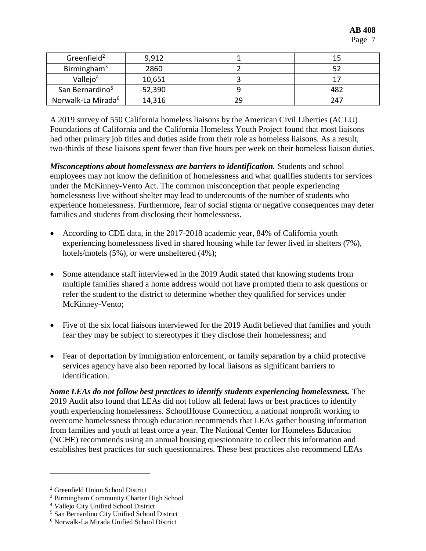| Greenfield <sup>2</sup>        | 9,912  |     |  |
|--------------------------------|--------|-----|--|
| Birmingham <sup>3</sup>        | 2860   |     |  |
| Vallej $o4$                    | 10,651 |     |  |
| San Bernardino <sup>5</sup>    | 52,390 | 482 |  |
| Norwalk-La Mirada <sup>6</sup> | 14,316 | 247 |  |

A 2019 survey of 550 California homeless liaisons by the American Civil Liberties (ACLU) Foundations of California and the California Homeless Youth Project found that most liaisons had other primary job titles and duties aside from their role as homeless liaisons. As a result, two-thirds of these liaisons spent fewer than five hours per week on their homeless liaison duties.

*Misconceptions about homelessness are barriers to identification.* Students and school employees may not know the definition of homelessness and what qualifies students for services under the McKinney-Vento Act. The common misconception that people experiencing homelessness live without shelter may lead to undercounts of the number of students who experience homelessness. Furthermore, fear of social stigma or negative consequences may deter families and students from disclosing their homelessness.

- According to CDE data, in the 2017-2018 academic year, 84% of California youth experiencing homelessness lived in shared housing while far fewer lived in shelters (7%), hotels/motels (5%), or were unsheltered (4%);
- Some attendance staff interviewed in the 2019 Audit stated that knowing students from multiple families shared a home address would not have prompted them to ask questions or refer the student to the district to determine whether they qualified for services under McKinney-Vento;
- Five of the six local liaisons interviewed for the 2019 Audit believed that families and youth fear they may be subject to stereotypes if they disclose their homelessness; and
- Fear of deportation by immigration enforcement, or family separation by a child protective services agency have also been reported by local liaisons as significant barriers to identification.

*Some LEAs do not follow best practices to identify students experiencing homelessness.* The 2019 Audit also found that LEAs did not follow all federal laws or best practices to identify youth experiencing homelessness. SchoolHouse Connection, a national nonprofit working to overcome homelessness through education recommends that LEAs gather housing information from families and youth at least once a year. The National Center for Homeless Education (NCHE) recommends using an annual housing questionnaire to collect this information and establishes best practices for such questionnaires. These best practices also recommend LEAs

 $\overline{a}$ 

<sup>2</sup> Greenfield Union School District

<sup>3</sup> Birmingham Community Charter High School

<sup>4</sup> Vallejo City Unified School District

<sup>5</sup> San Bernardino City Unified School District

<sup>6</sup> Norwalk-La Mirada Unified School District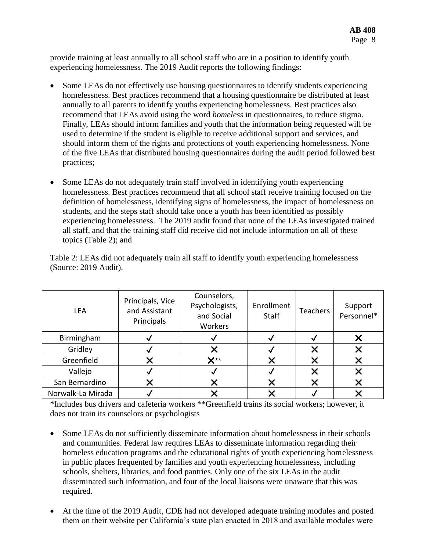provide training at least annually to all school staff who are in a position to identify youth experiencing homelessness. The 2019 Audit reports the following findings:

- Some LEAs do not effectively use housing questionnaires to identify students experiencing homelessness. Best practices recommend that a housing questionnaire be distributed at least annually to all parents to identify youths experiencing homelessness. Best practices also recommend that LEAs avoid using the word *homeless* in questionnaires, to reduce stigma. Finally, LEAs should inform families and youth that the information being requested will be used to determine if the student is eligible to receive additional support and services, and should inform them of the rights and protections of youth experiencing homelessness. None of the five LEAs that distributed housing questionnaires during the audit period followed best practices;
- Some LEAs do not adequately train staff involved in identifying youth experiencing homelessness. Best practices recommend that all school staff receive training focused on the definition of homelessness, identifying signs of homelessness, the impact of homelessness on students, and the steps staff should take once a youth has been identified as possibly experiencing homelessness. The 2019 audit found that none of the LEAs investigated trained all staff, and that the training staff did receive did not include information on all of these topics (Table 2); and

Table 2: LEAs did not adequately train all staff to identify youth experiencing homelessness (Source: 2019 Audit).

| <b>LEA</b>        | Principals, Vice<br>and Assistant<br>Principals | Counselors,<br>Psychologists,<br>and Social<br>Workers | Enrollment<br>Staff | <b>Teachers</b> | Support<br>Personnel* |
|-------------------|-------------------------------------------------|--------------------------------------------------------|---------------------|-----------------|-----------------------|
| Birmingham        |                                                 |                                                        |                     |                 |                       |
| Gridley           |                                                 |                                                        |                     |                 |                       |
| Greenfield        |                                                 | $\mathbf{Y}^{**}$                                      |                     |                 |                       |
| Vallejo           |                                                 |                                                        |                     |                 |                       |
| San Bernardino    |                                                 |                                                        | X                   | Y               |                       |
| Norwalk-La Mirada |                                                 |                                                        |                     |                 |                       |

\*Includes bus drivers and cafeteria workers \*\*Greenfield trains its social workers; however, it does not train its counselors or psychologists

- Some LEAs do not sufficiently disseminate information about homelessness in their schools and communities. Federal law requires LEAs to disseminate information regarding their homeless education programs and the educational rights of youth experiencing homelessness in public places frequented by families and youth experiencing homelessness, including schools, shelters, libraries, and food pantries. Only one of the six LEAs in the audit disseminated such information, and four of the local liaisons were unaware that this was required.
- At the time of the 2019 Audit, CDE had not developed adequate training modules and posted them on their website per California's state plan enacted in 2018 and available modules were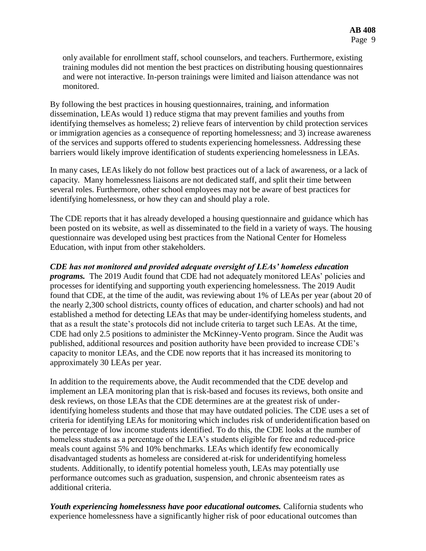only available for enrollment staff, school counselors, and teachers. Furthermore, existing training modules did not mention the best practices on distributing housing questionnaires and were not interactive. In-person trainings were limited and liaison attendance was not monitored.

By following the best practices in housing questionnaires, training, and information dissemination, LEAs would 1) reduce stigma that may prevent families and youths from identifying themselves as homeless; 2) relieve fears of intervention by child protection services or immigration agencies as a consequence of reporting homelessness; and 3) increase awareness of the services and supports offered to students experiencing homelessness. Addressing these barriers would likely improve identification of students experiencing homelessness in LEAs.

In many cases, LEAs likely do not follow best practices out of a lack of awareness, or a lack of capacity. Many homelessness liaisons are not dedicated staff, and split their time between several roles. Furthermore, other school employees may not be aware of best practices for identifying homelessness, or how they can and should play a role.

The CDE reports that it has already developed a housing questionnaire and guidance which has been posted on its website, as well as disseminated to the field in a variety of ways. The housing questionnaire was developed using best practices from the National Center for Homeless Education, with input from other stakeholders.

*CDE has not monitored and provided adequate oversight of LEAs' homeless education programs.* The 2019 Audit found that CDE had not adequately monitored LEAs' policies and processes for identifying and supporting youth experiencing homelessness. The 2019 Audit found that CDE, at the time of the audit, was reviewing about 1% of LEAs per year (about 20 of the nearly 2,300 school districts, county offices of education, and charter schools) and had not established a method for detecting LEAs that may be under-identifying homeless students, and that as a result the state's protocols did not include criteria to target such LEAs. At the time, CDE had only 2.5 positions to administer the McKinney-Vento program. Since the Audit was published, additional resources and position authority have been provided to increase CDE's capacity to monitor LEAs, and the CDE now reports that it has increased its monitoring to approximately 30 LEAs per year.

In addition to the requirements above, the Audit recommended that the CDE develop and implement an LEA monitoring plan that is risk-based and focuses its reviews, both onsite and desk reviews, on those LEAs that the CDE determines are at the greatest risk of underidentifying homeless students and those that may have outdated policies. The CDE uses a set of criteria for identifying LEAs for monitoring which includes risk of underidentification based on the percentage of low income students identified. To do this, the CDE looks at the number of homeless students as a percentage of the LEA's students eligible for free and reduced-price meals count against 5% and 10% benchmarks. LEAs which identify few economically disadvantaged students as homeless are considered at-risk for underidentifying homeless students. Additionally, to identify potential homeless youth, LEAs may potentially use performance outcomes such as graduation, suspension, and chronic absenteeism rates as additional criteria.

*Youth experiencing homelessness have poor educational outcomes.* California students who experience homelessness have a significantly higher risk of poor educational outcomes than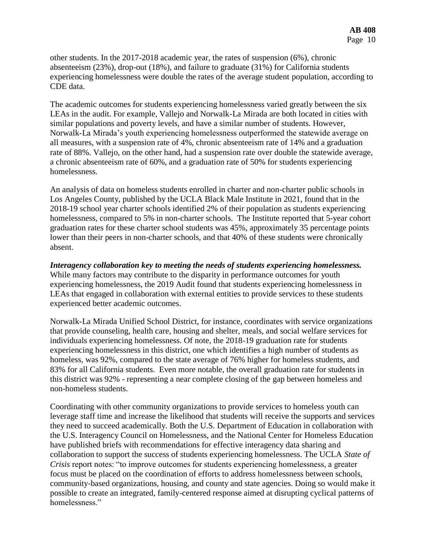other students. In the 2017-2018 academic year, the rates of suspension (6%), chronic absenteeism (23%), drop-out (18%), and failure to graduate (31%) for California students experiencing homelessness were double the rates of the average student population, according to CDE data.

The academic outcomes for students experiencing homelessness varied greatly between the six LEAs in the audit. For example, Vallejo and Norwalk-La Mirada are both located in cities with similar populations and poverty levels, and have a similar number of students. However, Norwalk-La Mirada's youth experiencing homelessness outperformed the statewide average on all measures, with a suspension rate of 4%, chronic absenteeism rate of 14% and a graduation rate of 88%. Vallejo, on the other hand, had a suspension rate over double the statewide average, a chronic absenteeism rate of 60%, and a graduation rate of 50% for students experiencing homelessness.

An analysis of data on homeless students enrolled in charter and non-charter public schools in Los Angeles County, published by the UCLA Black Male Institute in 2021, found that in the 2018-19 school year charter schools identified 2% of their population as students experiencing homelessness, compared to 5% in non-charter schools. The Institute reported that 5-year cohort graduation rates for these charter school students was 45%, approximately 35 percentage points lower than their peers in non-charter schools, and that 40% of these students were chronically absent.

*Interagency collaboration key to meeting the needs of students experiencing homelessness.*  While many factors may contribute to the disparity in performance outcomes for youth experiencing homelessness, the 2019 Audit found that students experiencing homelessness in LEAs that engaged in collaboration with external entities to provide services to these students experienced better academic outcomes.

Norwalk-La Mirada Unified School District, for instance, coordinates with service organizations that provide counseling, health care, housing and shelter, meals, and social welfare services for individuals experiencing homelessness. Of note, the 2018-19 graduation rate for students experiencing homelessness in this district, one which identifies a high number of students as homeless, was 92%, compared to the state average of 76% higher for homeless students, and 83% for all California students. Even more notable, the overall graduation rate for students in this district was 92% - representing a near complete closing of the gap between homeless and non-homeless students.

Coordinating with other community organizations to provide services to homeless youth can leverage staff time and increase the likelihood that students will receive the supports and services they need to succeed academically. Both the U.S. Department of Education in collaboration with the U.S. Interagency Council on Homelessness, and the National Center for Homeless Education have published briefs with recommendations for effective interagency data sharing and collaboration to support the success of students experiencing homelessness. The UCLA *State of Crisis* report notes: "to improve outcomes for students experiencing homelessness, a greater focus must be placed on the coordination of efforts to address homelessness between schools, community-based organizations, housing, and county and state agencies. Doing so would make it possible to create an integrated, family-centered response aimed at disrupting cyclical patterns of homelessness."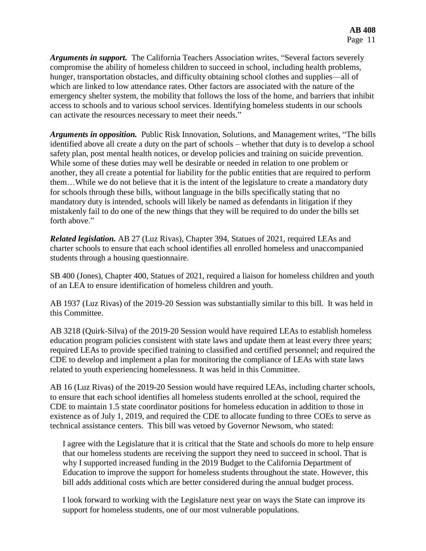*Arguments in support.* The California Teachers Association writes, "Several factors severely compromise the ability of homeless children to succeed in school, including health problems, hunger, transportation obstacles, and difficulty obtaining school clothes and supplies—all of which are linked to low attendance rates. Other factors are associated with the nature of the emergency shelter system, the mobility that follows the loss of the home, and barriers that inhibit access to schools and to various school services. Identifying homeless students in our schools can activate the resources necessary to meet their needs."

*Arguments in opposition.* Public Risk Innovation, Solutions, and Management writes, "The bills identified above all create a duty on the part of schools – whether that duty is to develop a school safety plan, post mental health notices, or develop policies and training on suicide prevention. While some of these duties may well be desirable or needed in relation to one problem or another, they all create a potential for liability for the public entities that are required to perform them…While we do not believe that it is the intent of the legislature to create a mandatory duty for schools through these bills, without language in the bills specifically stating that no mandatory duty is intended, schools will likely be named as defendants in litigation if they mistakenly fail to do one of the new things that they will be required to do under the bills set forth above."

*Related legislation.* AB 27 (Luz Rivas), Chapter 394, Statues of 2021, required LEAs and charter schools to ensure that each school identifies all enrolled homeless and unaccompanied students through a housing questionnaire.

SB 400 (Jones), Chapter 400, Statues of 2021, required a liaison for homeless children and youth of an LEA to ensure identification of homeless children and youth.

AB 1937 (Luz Rivas) of the 2019-20 Session was substantially similar to this bill. It was held in this Committee.

AB 3218 (Quirk-Silva) of the 2019-20 Session would have required LEAs to establish homeless education program policies consistent with state laws and update them at least every three years; required LEAs to provide specified training to classified and certified personnel; and required the CDE to develop and implement a plan for monitoring the compliance of LEAs with state laws related to youth experiencing homelessness. It was held in this Committee.

AB 16 (Luz Rivas) of the 2019-20 Session would have required LEAs, including charter schools, to ensure that each school identifies all homeless students enrolled at the school, required the CDE to maintain 1.5 state coordinator positions for homeless education in addition to those in existence as of July 1, 2019, and required the CDE to allocate funding to three COEs to serve as technical assistance centers. This bill was vetoed by Governor Newsom, who stated:

I agree with the Legislature that it is critical that the State and schools do more to help ensure that our homeless students are receiving the support they need to succeed in school. That is why I supported increased funding in the 2019 Budget to the California Department of Education to improve the support for homeless students throughout the state. However, this bill adds additional costs which are better considered during the annual budget process.

I look forward to working with the Legislature next year on ways the State can improve its support for homeless students, one of our most vulnerable populations.